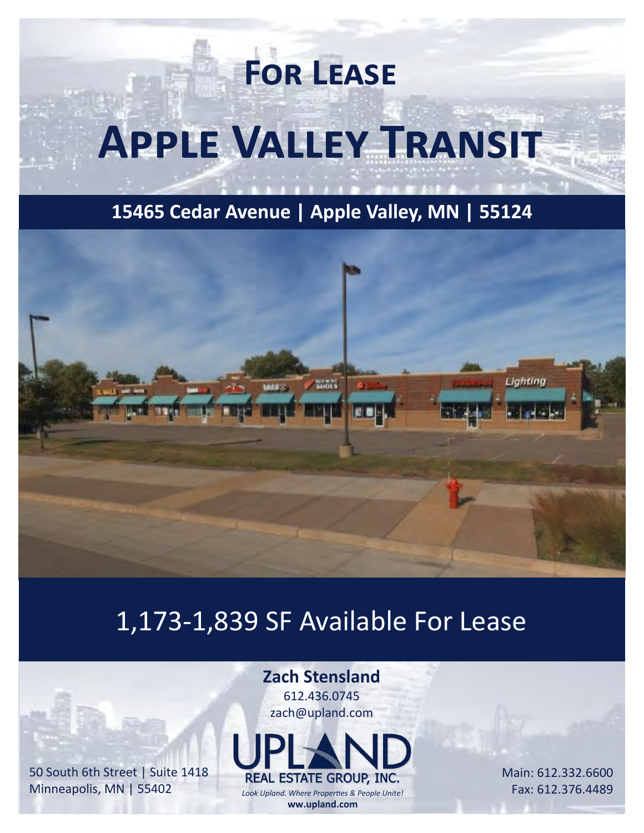# **For Lease Apple Valley Transit**

**15465 Cedar Avenue | Apple Valley, MN | 55124**



## 1,173-1,839 SF Available For Lease

#### **Zach Stensland**

612.436.0745 zach@upland.com



*Look Upland. Where Properties & People Unite!* **ww.upland.com**

Main: 612.332.6600 Fax: 612.376.4489

50 South 6th Street | Suite 1418 Minneapolis, MN | 55402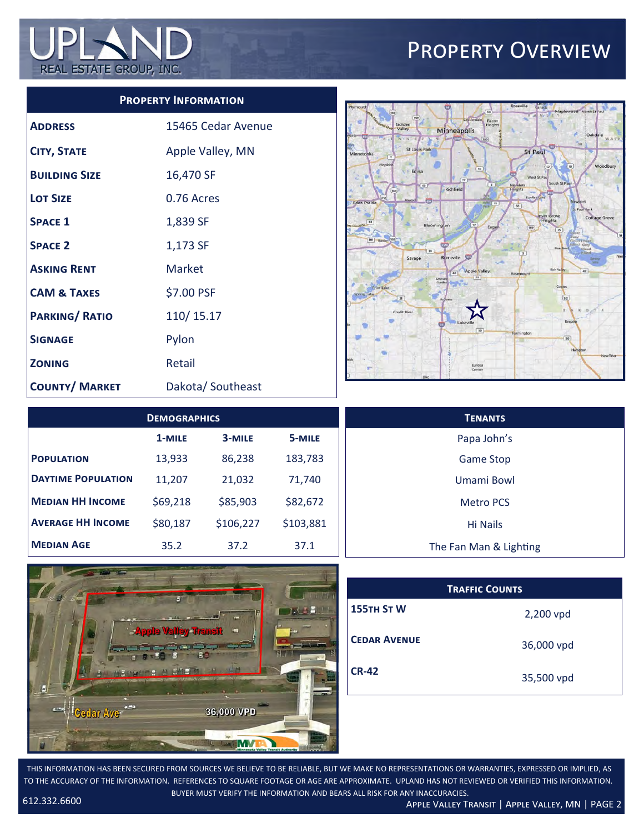

#### Property Overview

#### **Property Information**

| <b>ADDRESS</b>         | 15465 Cedar Avenue |
|------------------------|--------------------|
| <b>CITY, STATE</b>     | Apple Valley, MN   |
| <b>BUILDING SIZE</b>   | 16,470 SF          |
| <b>LOT SIZE</b>        | 0.76 Acres         |
| <b>SPACE 1</b>         | 1,839 SF           |
| <b>SPACE 2</b>         | 1,173 SF           |
| <b>ASKING RENT</b>     | Market             |
| <b>CAM &amp; TAXES</b> | \$7.00 PSF         |
| <b>PARKING/ RATIO</b>  | 110/15.17          |
| <b>SIGNAGE</b>         | Pylon              |
| <b>ZONING</b>          | Retail             |
| <b>COUNTY/ MARKET</b>  | Dakota/Southeast   |



| <b>DEMOGRAPHICS</b>       |          |           | <b>TENANTS</b> |                        |
|---------------------------|----------|-----------|----------------|------------------------|
|                           | 1-MILE   | 3-MILE    | 5-MILE         | Papa John's            |
| <b>POPULATION</b>         | 13,933   | 86,238    | 183,783        | <b>Game Stop</b>       |
| <b>DAYTIME POPULATION</b> | 11,207   | 21,032    | 71,740         | Umami Bowl             |
| <b>MEDIAN HH INCOME</b>   | \$69,218 | \$85,903  | \$82,672       | <b>Metro PCS</b>       |
| <b>AVERAGE HH INCOME</b>  | \$80,187 | \$106,227 | \$103,881      | Hi Nails               |
| <b>MEDIAN AGE</b>         | 35.2     | 37.2      | 37.1           | The Fan Man & Lighting |



| <b>TRAFFIC COUNTS</b> |            |  |  |
|-----------------------|------------|--|--|
| 155TH ST W            | 2,200 vpd  |  |  |
| <b>CEDAR AVENUE</b>   | 36,000 vpd |  |  |
| <b>CR-42</b>          | 35,500 vpd |  |  |

THIS INFORMATION HAS BEEN SECURED FROM SOURCES WE BELIEVE TO BE RELIABLE, BUT WE MAKE NO REPRESENTATIONS OR WARRANTIES, EXPRESSED OR IMPLIED, AS TO THE ACCURACY OF THE INFORMATION. REFERENCES TO SQUARE FOOTAGE OR AGE ARE APPROXIMATE. UPLAND HAS NOT REVIEWED OR VERIFIED THIS INFORMATION. BUYER MUST VERIFY THE INFORMATION AND BEARS ALL RISK FOR ANY INACCURACIES.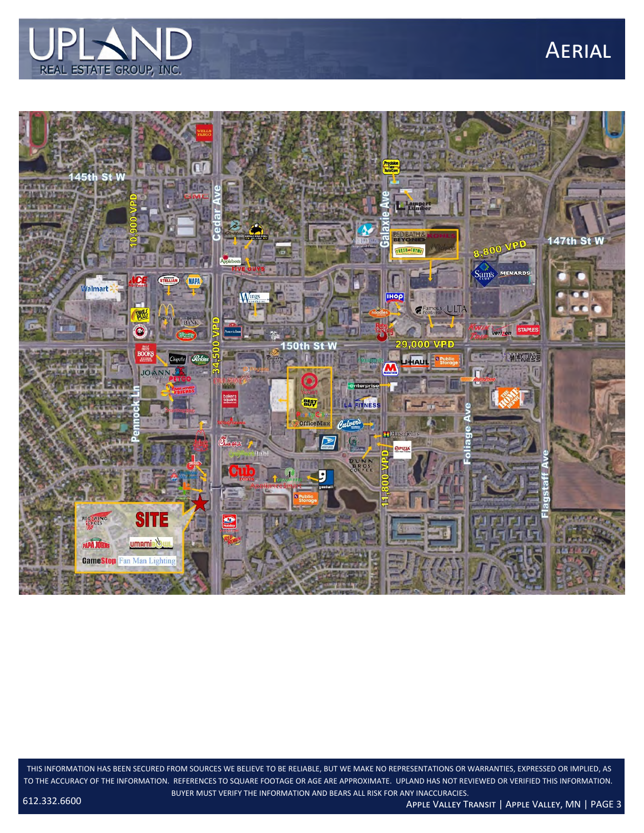

### **AERIAL**



THIS INFORMATION HAS BEEN SECURED FROM SOURCES WE BELIEVE TO BE RELIABLE, BUT WE MAKE NO REPRESENTATIONS OR WARRANTIES, EXPRESSED OR IMPLIED, AS TO THE ACCURACY OF THE INFORMATION. REFERENCES TO SQUARE FOOTAGE OR AGE ARE APPROXIMATE. UPLAND HAS NOT REVIEWED OR VERIFIED THIS INFORMATION. BUYER MUST VERIFY THE INFORMATION AND BEARS ALL RISK FOR ANY INACCURACIES.